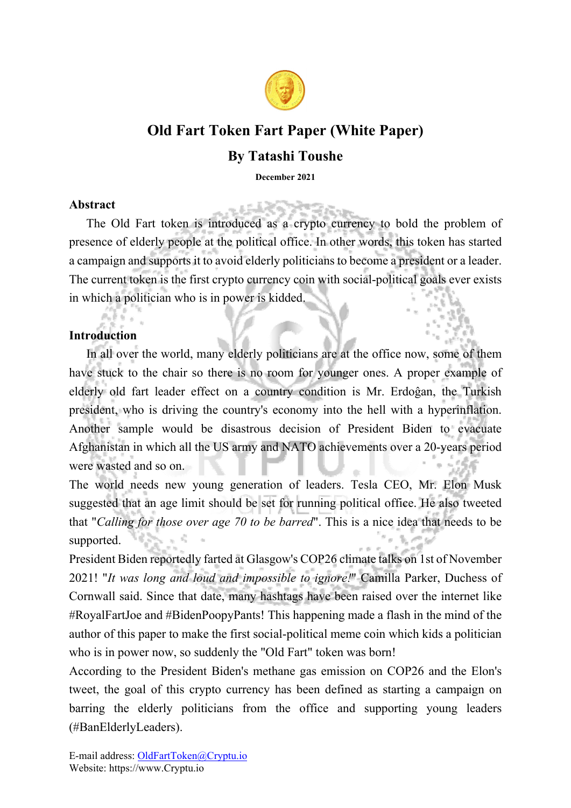

# **Old Fart Token Fart Paper (White Paper)**

## **By Tatashi Toushe**

**December 2021** 

## **Abstract**

The Old Fart token is introduced as a crypto currency to bold the problem of presence of elderly people at the political office. In other words, this token has started a campaign and supports it to avoid elderly politicians to become a president or a leader. The current token is the first crypto currency coin with social-political goals ever exists in which a politician who is in power is kidded.

## **Introduction**

In all over the world, many elderly politicians are at the office now, some of them have stuck to the chair so there is no room for younger ones. A proper example of elderly old fart leader effect on a country condition is Mr. Erdoĝan, the Turkish president, who is driving the country's economy into the hell with a hyperinflation. Another sample would be disastrous decision of President Biden to evacuate Afghanistan in which all the US army and NATO achievements over a 20-years period were wasted and so on.

The world needs new young generation of leaders. Tesla CEO, Mr. Elon Musk suggested that an age limit should be set for running political office. He also tweeted that "*Calling for those over age 70 to be barred*". This is a nice idea that needs to be supported.

President Biden reportedly farted at Glasgow's COP26 climate talks on 1st of November 2021! "*It was long and loud and impossible to ignore!*" Camilla Parker, Duchess of Cornwall said. Since that date, many hashtags have been raised over the internet like #RoyalFartJoe and #BidenPoopyPants! This happening made a flash in the mind of the author of this paper to make the first social-political meme coin which kids a politician who is in power now, so suddenly the "Old Fart" token was born!

According to the President Biden's methane gas emission on COP26 and the Elon's tweet, the goal of this crypto currency has been defined as starting a campaign on barring the elderly politicians from the office and supporting young leaders (#BanElderlyLeaders).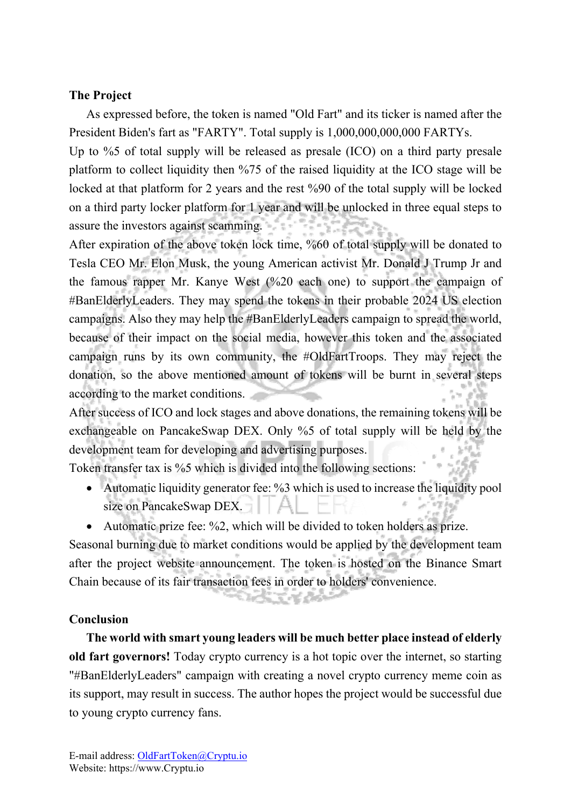## **The Project**

As expressed before, the token is named "Old Fart" and its ticker is named after the President Biden's fart as "FARTY". Total supply is 1,000,000,000,000 FARTYs.

Up to %5 of total supply will be released as presale (ICO) on a third party presale platform to collect liquidity then %75 of the raised liquidity at the ICO stage will be locked at that platform for 2 years and the rest %90 of the total supply will be locked on a third party locker platform for 1 year and will be unlocked in three equal steps to assure the investors against scamming.

After expiration of the above token lock time, %60 of total supply will be donated to Tesla CEO Mr. Elon Musk, the young American activist Mr. Donald J Trump Jr and the famous rapper Mr. Kanye West (%20 each one) to support the campaign of #BanElderlyLeaders. They may spend the tokens in their probable 2024 US election campaigns. Also they may help the #BanElderlyLeaders campaign to spread the world, because of their impact on the social media, however this token and the associated campaign runs by its own community, the #OldFartTroops. They may reject the donation, so the above mentioned amount of tokens will be burnt in several steps according to the market conditions.

After success of ICO and lock stages and above donations, the remaining tokens will be exchangeable on PancakeSwap DEX. Only %5 of total supply will be held by the development team for developing and advertising purposes.

Token transfer tax is %5 which is divided into the following sections:

- Automatic liquidity generator fee: %3 which is used to increase the liquidity pool size on PancakeSwap DEX.
- Automatic prize fee: %2, which will be divided to token holders as prize.

Seasonal burning due to market conditions would be applied by the development team after the project website announcement. The token is hosted on the Binance Smart Chain because of its fair transaction fees in order to holders' convenience.

### **Conclusion**

**The world with smart young leaders will be much better place instead of elderly old fart governors!** Today crypto currency is a hot topic over the internet, so starting "#BanElderlyLeaders" campaign with creating a novel crypto currency meme coin as its support, may result in success. The author hopes the project would be successful due to young crypto currency fans.